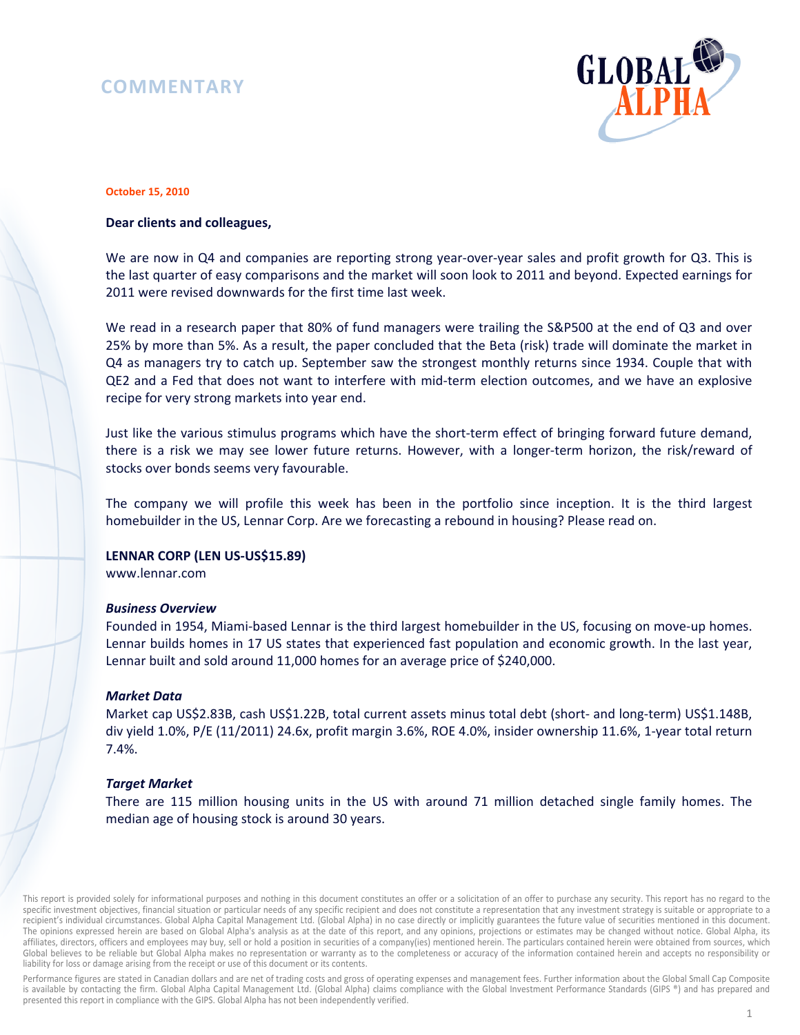# **COMMENTARY**



#### **October 15, 2010**

## **Dear clients and colleagues,**

We are now in Q4 and companies are reporting strong year-over-year sales and profit growth for Q3. This is the last quarter of easy comparisons and the market will soon look to 2011 and beyond. Expected earnings for 2011 were revised downwards for the first time last week.

We read in a research paper that 80% of fund managers were trailing the S&P500 at the end of Q3 and over 25% by more than 5%. As a result, the paper concluded that the Beta (risk) trade will dominate the market in Q4 as managers try to catch up. September saw the strongest monthly returns since 1934. Couple that with QE2 and a Fed that does not want to interfere with mid-term election outcomes, and we have an explosive recipe for very strong markets into year end.

Just like the various stimulus programs which have the short-term effect of bringing forward future demand, there is a risk we may see lower future returns. However, with a longer-term horizon, the risk/reward of stocks over bonds seems very favourable.

The company we will profile this week has been in the portfolio since inception. It is the third largest homebuilder in the US, Lennar Corp. Are we forecasting a rebound in housing? Please read on.

### **LENNAR CORP (LEN US-US\$15.89)**

www.lennar.com

#### *Business Overview*

Founded in 1954, Miami-based Lennar is the third largest homebuilder in the US, focusing on move-up homes. Lennar builds homes in 17 US states that experienced fast population and economic growth. In the last year, Lennar built and sold around 11,000 homes for an average price of \$240,000.

#### *Market Data*

Market cap US\$2.83B, cash US\$1.22B, total current assets minus total debt (short- and long-term) US\$1.148B, div yield 1.0%, P/E (11/2011) 24.6x, profit margin 3.6%, ROE 4.0%, insider ownership 11.6%, 1-year total return 7.4%.

## *Target Market*

There are 115 million housing units in the US with around 71 million detached single family homes. The median age of housing stock is around 30 years.

This report is provided solely for informational purposes and nothing in this document constitutes an offer or a solicitation of an offer to purchase any security. This report has no regard to the specific investment objectives, financial situation or particular needs of any specific recipient and does not constitute a representation that any investment strategy is suitable or appropriate to a recipient's individual circumstances. Global Alpha Capital Management Ltd. (Global Alpha) in no case directly or implicitly guarantees the future value of securities mentioned in this document. The opinions expressed herein are based on Global Alpha's analysis as at the date of this report, and any opinions, projections or estimates may be changed without notice. Global Alpha, its affiliates, directors, officers and employees may buy, sell or hold a position in securities of a company(ies) mentioned herein. The particulars contained herein were obtained from sources, which Global believes to be reliable but Global Alpha makes no representation or warranty as to the completeness or accuracy of the information contained herein and accepts no responsibility or liability for loss or damage arising from the receipt or use of this document or its contents.

Performance figures are stated in Canadian dollars and are net of trading costs and gross of operating expenses and management fees. Further information about the Global Small Cap Composite is available by contacting the firm. Global Alpha Capital Management Ltd. (Global Alpha) claims compliance with the Global Investment Performance Standards (GIPS ®) and has prepared and presented this report in compliance with the GIPS. Global Alpha has not been independently verified.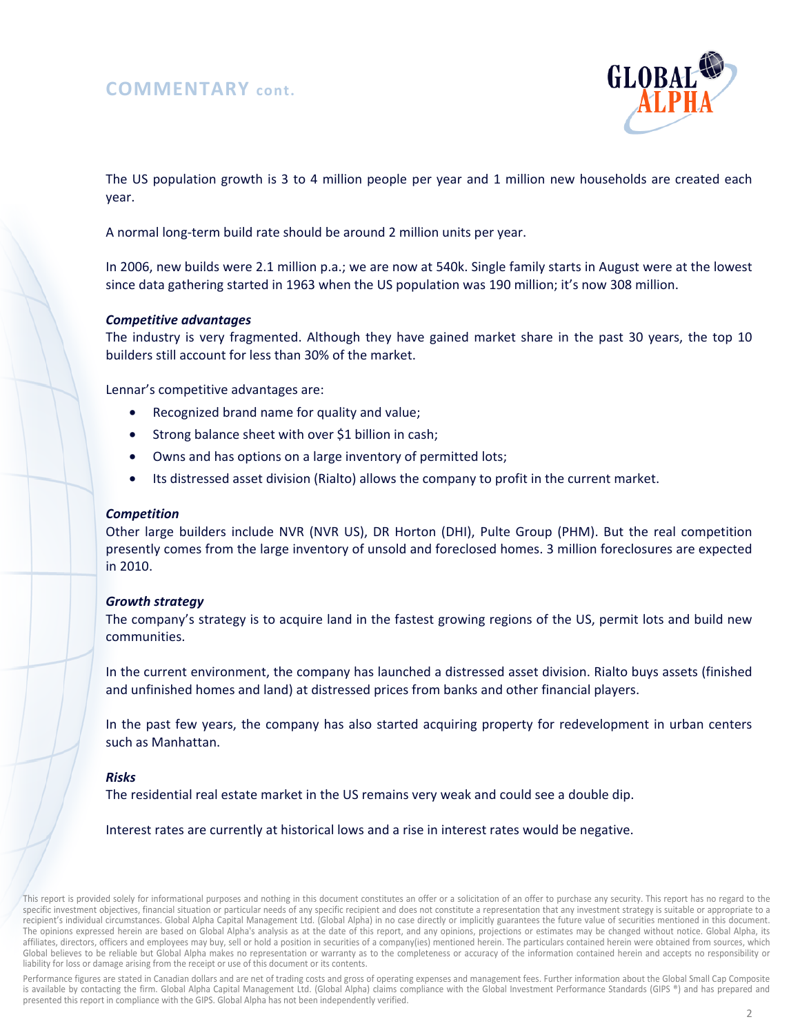## **COMMENTARY cont.**



The US population growth is 3 to 4 million people per year and 1 million new households are created each year.

A normal long-term build rate should be around 2 million units per year.

In 2006, new builds were 2.1 million p.a.; we are now at 540k. Single family starts in August were at the lowest since data gathering started in 1963 when the US population was 190 million; it's now 308 million.

## *Competitive advantages*

The industry is very fragmented. Although they have gained market share in the past 30 years, the top 10 builders still account for less than 30% of the market.

Lennar's competitive advantages are:

- Recognized brand name for quality and value;
- Strong balance sheet with over \$1 billion in cash;
- Owns and has options on a large inventory of permitted lots;
- Its distressed asset division (Rialto) allows the company to profit in the current market.

### *Competition*

Other large builders include NVR (NVR US), DR Horton (DHI), Pulte Group (PHM). But the real competition presently comes from the large inventory of unsold and foreclosed homes. 3 million foreclosures are expected in 2010.

#### *Growth strategy*

The company's strategy is to acquire land in the fastest growing regions of the US, permit lots and build new communities.

In the current environment, the company has launched a distressed asset division. Rialto buys assets (finished and unfinished homes and land) at distressed prices from banks and other financial players.

In the past few years, the company has also started acquiring property for redevelopment in urban centers such as Manhattan.

## *Risks*

The residential real estate market in the US remains very weak and could see a double dip.

Interest rates are currently at historical lows and a rise in interest rates would be negative.

Performance figures are stated in Canadian dollars and are net of trading costs and gross of operating expenses and management fees. Further information about the Global Small Cap Composite is available by contacting the firm. Global Alpha Capital Management Ltd. (Global Alpha) claims compliance with the Global Investment Performance Standards (GIPS ®) and has prepared and presented this report in compliance with the GIPS. Global Alpha has not been independently verified.

This report is provided solely for informational purposes and nothing in this document constitutes an offer or a solicitation of an offer to purchase any security. This report has no regard to the specific investment objectives, financial situation or particular needs of any specific recipient and does not constitute a representation that any investment strategy is suitable or appropriate to a recipient's individual circumstances. Global Alpha Capital Management Ltd. (Global Alpha) in no case directly or implicitly guarantees the future value of securities mentioned in this document. The opinions expressed herein are based on Global Alpha's analysis as at the date of this report, and any opinions, projections or estimates may be changed without notice. Global Alpha, its affiliates, directors, officers and employees may buy, sell or hold a position in securities of a company(ies) mentioned herein. The particulars contained herein were obtained from sources, which Global believes to be reliable but Global Alpha makes no representation or warranty as to the completeness or accuracy of the information contained herein and accepts no responsibility or liability for loss or damage arising from the receipt or use of this document or its contents.